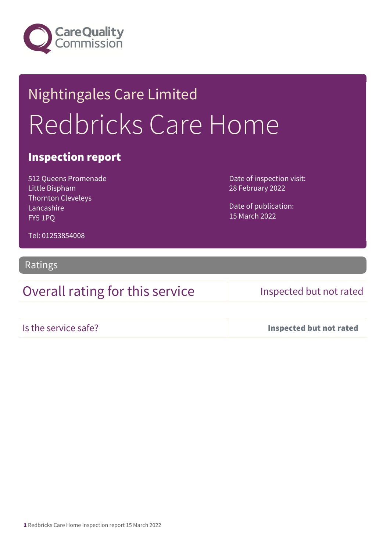

# Nightingales Care Limited Redbricks Care Home

### Inspection report

512 Queens Promenade Little Bispham Thornton Cleveleys Lancashire FY5 1PQ

Date of inspection visit: 28 February 2022

Date of publication: 15 March 2022

Tel: 01253854008

Ratings

### Overall rating for this service Inspected but not rated

Is the service safe? Inspected but not rated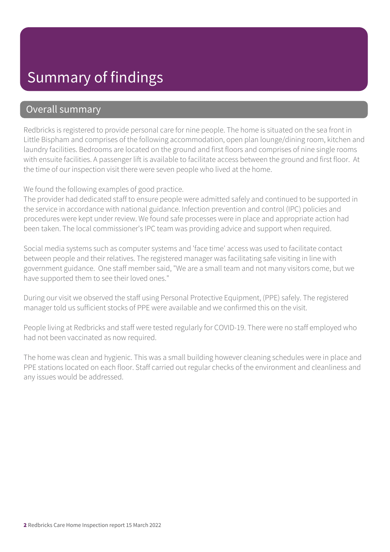## Summary of findings

### Overall summary

Redbricks is registered to provide personal care for nine people. The home is situated on the sea front in Little Bispham and comprises of the following accommodation, open plan lounge/dining room, kitchen and laundry facilities. Bedrooms are located on the ground and first floors and comprises of nine single rooms with ensuite facilities. A passenger lift is available to facilitate access between the ground and first floor. At the time of our inspection visit there were seven people who lived at the home.

We found the following examples of good practice.

The provider had dedicated staff to ensure people were admitted safely and continued to be supported in the service in accordance with national guidance. Infection prevention and control (IPC) policies and procedures were kept under review. We found safe processes were in place and appropriate action had been taken. The local commissioner's IPC team was providing advice and support when required.

Social media systems such as computer systems and 'face time' access was used to facilitate contact between people and their relatives. The registered manager was facilitating safe visiting in line with government guidance. One staff member said, "We are a small team and not many visitors come, but we have supported them to see their loved ones."

During our visit we observed the staff using Personal Protective Equipment, (PPE) safely. The registered manager told us sufficient stocks of PPE were available and we confirmed this on the visit.

People living at Redbricks and staff were tested regularly for COVID-19. There were no staff employed who had not been vaccinated as now required.

The home was clean and hygienic. This was a small building however cleaning schedules were in place and PPE stations located on each floor. Staff carried out regular checks of the environment and cleanliness and any issues would be addressed.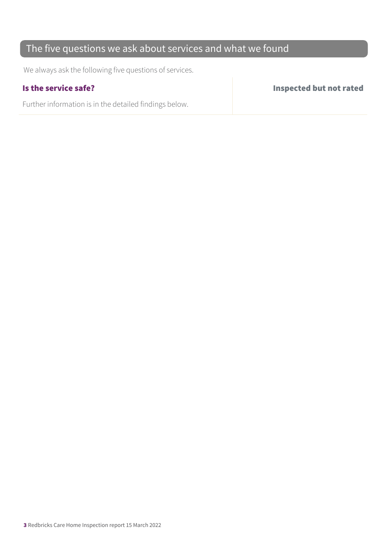### The five questions we ask about services and what we found

We always ask the following five questions of services.

Further information is in the detailed findings below.

Is the service safe? Inspected but not rated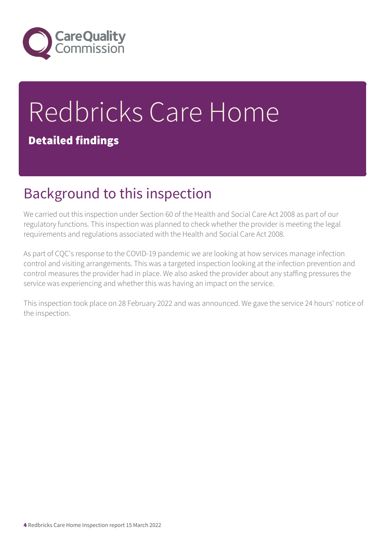

# Redbricks Care Home Detailed findings

## Background to this inspection

We carried out this inspection under Section 60 of the Health and Social Care Act 2008 as part of our regulatory functions. This inspection was planned to check whether the provider is meeting the legal requirements and regulations associated with the Health and Social Care Act 2008.

As part of CQC's response to the COVID-19 pandemic we are looking at how services manage infection control and visiting arrangements. This was a targeted inspection looking at the infection prevention and control measures the provider had in place. We also asked the provider about any staffing pressures the service was experiencing and whether this was having an impact on the service.

This inspection took place on 28 February 2022 and was announced. We gave the service 24 hours' notice of the inspection.